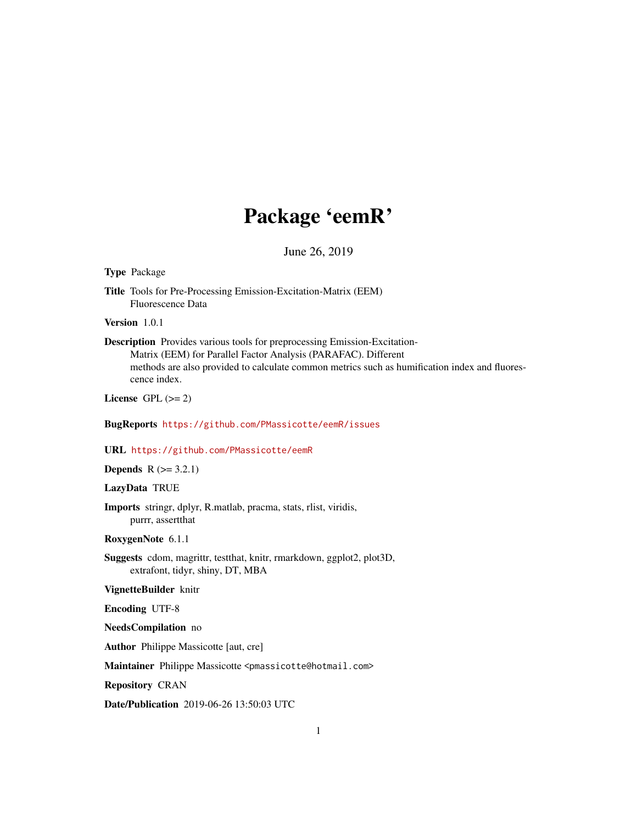# Package 'eemR'

June 26, 2019

# <span id="page-0-0"></span>Type Package

Title Tools for Pre-Processing Emission-Excitation-Matrix (EEM) Fluorescence Data

Version 1.0.1

Description Provides various tools for preprocessing Emission-Excitation-Matrix (EEM) for Parallel Factor Analysis (PARAFAC). Different methods are also provided to calculate common metrics such as humification index and fluorescence index.

License GPL  $(>= 2)$ 

# BugReports <https://github.com/PMassicotte/eemR/issues>

#### URL <https://github.com/PMassicotte/eemR>

**Depends**  $R$  ( $>= 3.2.1$ )

# LazyData TRUE

Imports stringr, dplyr, R.matlab, pracma, stats, rlist, viridis, purrr, assertthat

RoxygenNote 6.1.1

Suggests cdom, magrittr, testthat, knitr, rmarkdown, ggplot2, plot3D, extrafont, tidyr, shiny, DT, MBA

# VignetteBuilder knitr

Encoding UTF-8

NeedsCompilation no

Author Philippe Massicotte [aut, cre]

Maintainer Philippe Massicotte <pmassicotte@hotmail.com>

Repository CRAN

Date/Publication 2019-06-26 13:50:03 UTC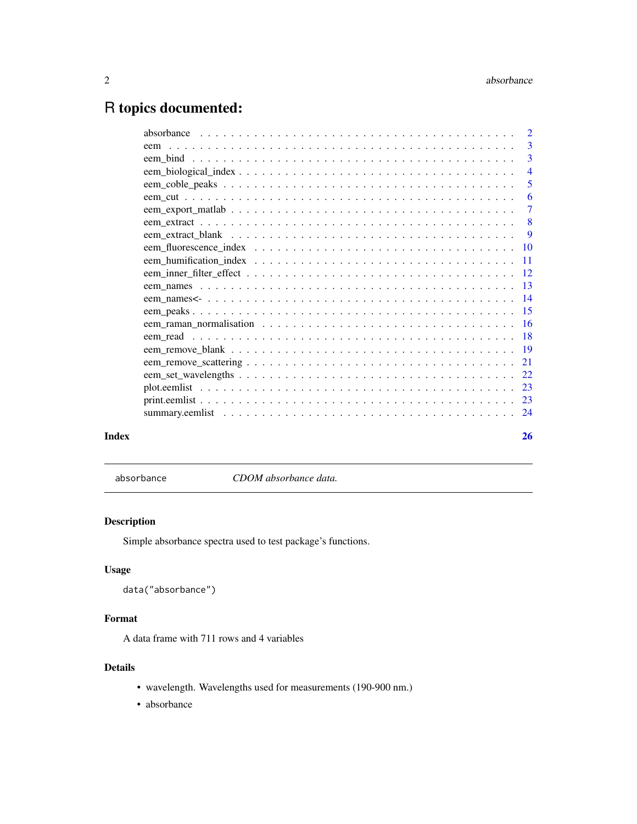# <span id="page-1-0"></span>R topics documented:

|       | eem |                |
|-------|-----|----------------|
|       |     |                |
|       |     | $\overline{4}$ |
|       |     |                |
|       |     |                |
|       |     |                |
|       |     |                |
|       |     |                |
|       |     |                |
|       |     |                |
|       |     |                |
|       |     |                |
|       |     |                |
|       |     |                |
|       |     |                |
|       |     |                |
|       |     |                |
|       |     |                |
|       |     |                |
|       |     |                |
|       |     |                |
|       |     |                |
|       |     |                |
| Index |     | 26             |

absorbance *CDOM absorbance data.*

# Description

Simple absorbance spectra used to test package's functions.

# Usage

```
data("absorbance")
```
# Format

A data frame with 711 rows and 4 variables

# Details

- wavelength. Wavelengths used for measurements (190-900 nm.)
- absorbance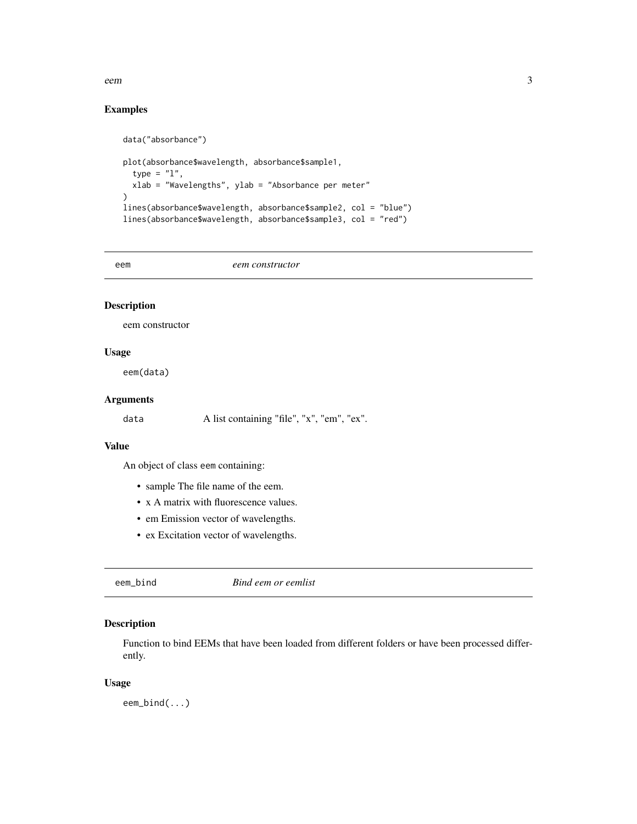<span id="page-2-0"></span>eem 3

# Examples

```
data("absorbance")
plot(absorbance$wavelength, absorbance$sample1,
 type = "1",
 xlab = "Wavelengths", ylab = "Absorbance per meter"
)
lines(absorbance$wavelength, absorbance$sample2, col = "blue")
lines(absorbance$wavelength, absorbance$sample3, col = "red")
```
eem *eem constructor*

# Description

eem constructor

# Usage

eem(data)

# Arguments

data A list containing "file", "x", "em", "ex".

# Value

An object of class eem containing:

- sample The file name of the eem.
- x A matrix with fluorescence values.
- em Emission vector of wavelengths.
- ex Excitation vector of wavelengths.

eem\_bind *Bind eem or eemlist*

# Description

Function to bind EEMs that have been loaded from different folders or have been processed differently.

# Usage

eem\_bind(...)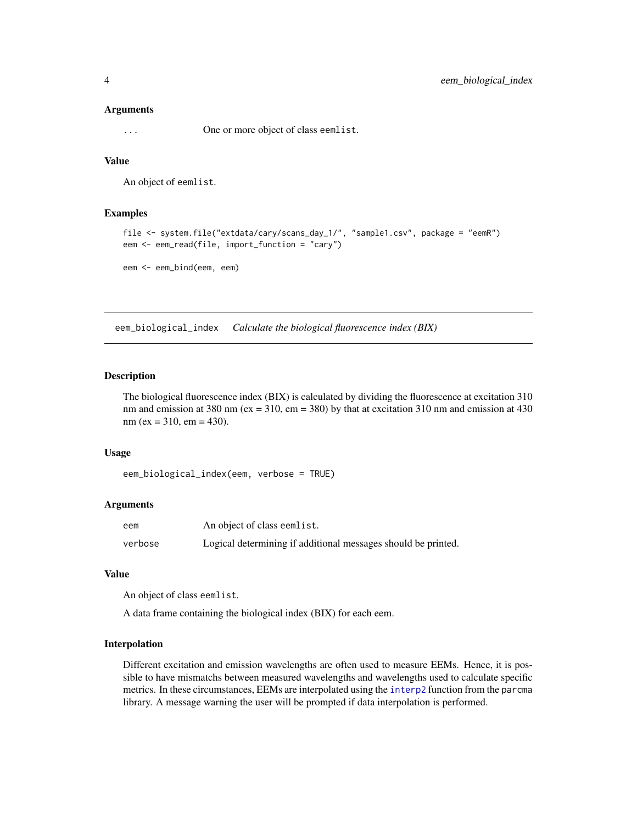#### <span id="page-3-0"></span>Arguments

... One or more object of class eemlist.

# Value

An object of eemlist.

# Examples

```
file <- system.file("extdata/cary/scans_day_1/", "sample1.csv", package = "eemR")
eem <- eem_read(file, import_function = "cary")
```

```
eem <- eem_bind(eem, eem)
```
eem\_biological\_index *Calculate the biological fluorescence index (BIX)*

# Description

The biological fluorescence index (BIX) is calculated by dividing the fluorescence at excitation 310 nm and emission at 380 nm ( $ex = 310$ ,  $em = 380$ ) by that at excitation 310 nm and emission at 430  $nm (ex = 310, em = 430).$ 

#### Usage

```
eem_biological_index(eem, verbose = TRUE)
```
# Arguments

| eem     | An object of class eemlist.                                   |
|---------|---------------------------------------------------------------|
| verbose | Logical determining if additional messages should be printed. |

#### Value

An object of class eemlist.

A data frame containing the biological index (BIX) for each eem.

# Interpolation

Different excitation and emission wavelengths are often used to measure EEMs. Hence, it is possible to have mismatchs between measured wavelengths and wavelengths used to calculate specific metrics. In these circumstances, EEMs are interpolated using the [interp2](#page-0-0) function from the parcma library. A message warning the user will be prompted if data interpolation is performed.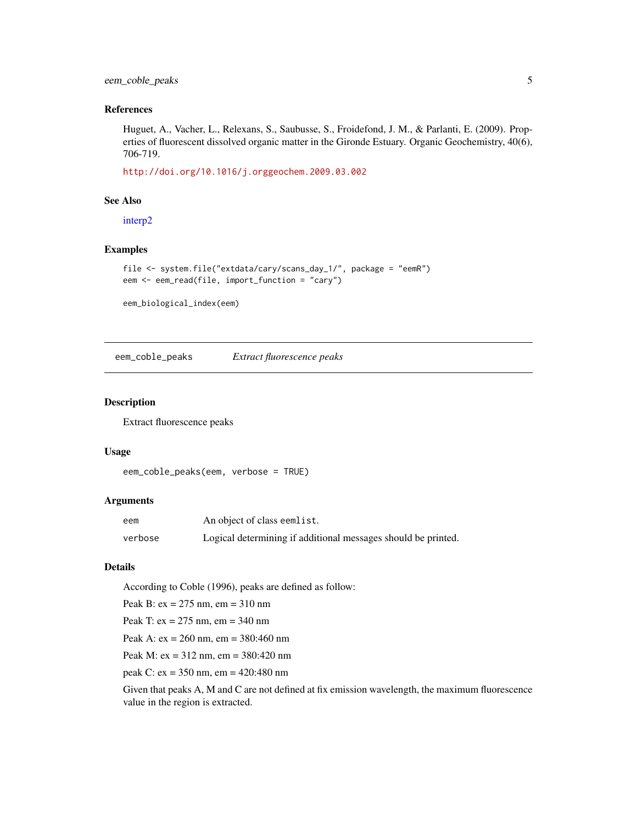# <span id="page-4-0"></span>eem\_coble\_peaks 5

# References

Huguet, A., Vacher, L., Relexans, S., Saubusse, S., Froidefond, J. M., & Parlanti, E. (2009). Properties of fluorescent dissolved organic matter in the Gironde Estuary. Organic Geochemistry, 40(6), 706-719.

<http://doi.org/10.1016/j.orggeochem.2009.03.002>

# See Also

[interp2](#page-0-0)

# Examples

```
file <- system.file("extdata/cary/scans_day_1/", package = "eemR")
eem <- eem_read(file, import_function = "cary")
```
eem\_biological\_index(eem)

eem\_coble\_peaks *Extract fluorescence peaks*

# Description

Extract fluorescence peaks

# Usage

```
eem_coble_peaks(eem, verbose = TRUE)
```
### Arguments

| eem     | An object of class eemlist.                                   |
|---------|---------------------------------------------------------------|
| verbose | Logical determining if additional messages should be printed. |

# Details

According to Coble (1996), peaks are defined as follow:

Peak B: ex = 275 nm, em = 310 nm

Peak T: ex = 275 nm, em = 340 nm

Peak A: ex = 260 nm, em = 380:460 nm

Peak M: ex = 312 nm, em = 380:420 nm

peak C: ex = 350 nm, em = 420:480 nm

Given that peaks A, M and C are not defined at fix emission wavelength, the maximum fluorescence value in the region is extracted.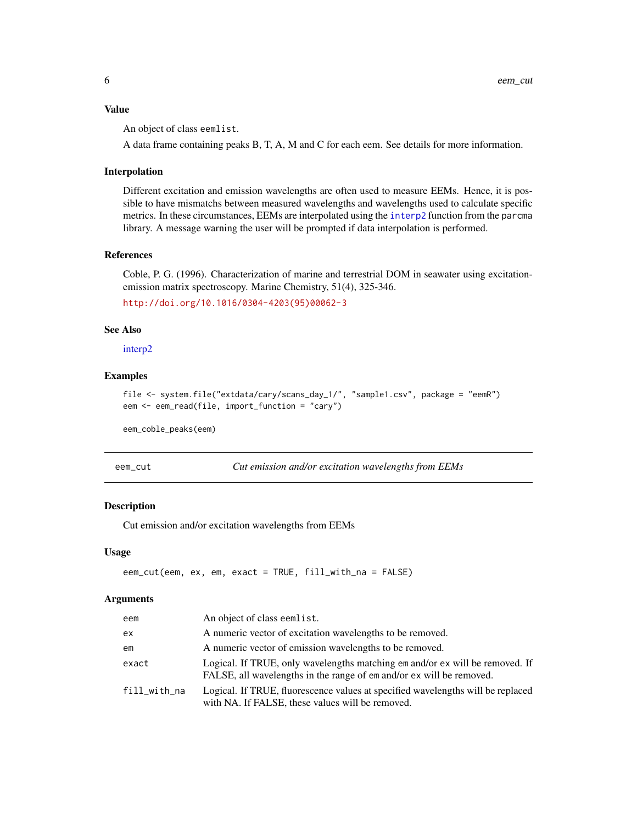# <span id="page-5-0"></span>Value

An object of class eemlist.

A data frame containing peaks B, T, A, M and C for each eem. See details for more information.

# Interpolation

Different excitation and emission wavelengths are often used to measure EEMs. Hence, it is possible to have mismatchs between measured wavelengths and wavelengths used to calculate specific metrics. In these circumstances, EEMs are interpolated using the [interp2](#page-0-0) function from the parcma library. A message warning the user will be prompted if data interpolation is performed.

# References

Coble, P. G. (1996). Characterization of marine and terrestrial DOM in seawater using excitationemission matrix spectroscopy. Marine Chemistry, 51(4), 325-346.

[http://doi.org/10.1016/0304-4203\(95\)00062-3](http://doi.org/10.1016/0304-4203(95)00062-3)

# See Also

[interp2](#page-0-0)

# Examples

```
file <- system.file("extdata/cary/scans_day_1/", "sample1.csv", package = "eemR")
eem <- eem_read(file, import_function = "cary")
```
eem\_coble\_peaks(eem)

| eem | -cut |
|-----|------|
|     |      |

Cut emission and/or excitation wavelengths from EEMs

# Description

Cut emission and/or excitation wavelengths from EEMs

#### Usage

```
eem_cut(eem, ex, em, exact = TRUE, fill_with_na = FALSE)
```
#### Arguments

| eem          | An object of class eemlist.                                                                                                                          |
|--------------|------------------------------------------------------------------------------------------------------------------------------------------------------|
| ex           | A numeric vector of excitation wavelengths to be removed.                                                                                            |
| em           | A numeric vector of emission wavelengths to be removed.                                                                                              |
| exact        | Logical. If TRUE, only wavelengths matching em and/or ex will be removed. If<br>FALSE, all wavelengths in the range of em and/or ex will be removed. |
| fill_with_na | Logical. If TRUE, fluorescence values at specified wavelengths will be replaced<br>with NA. If FALSE, these values will be removed.                  |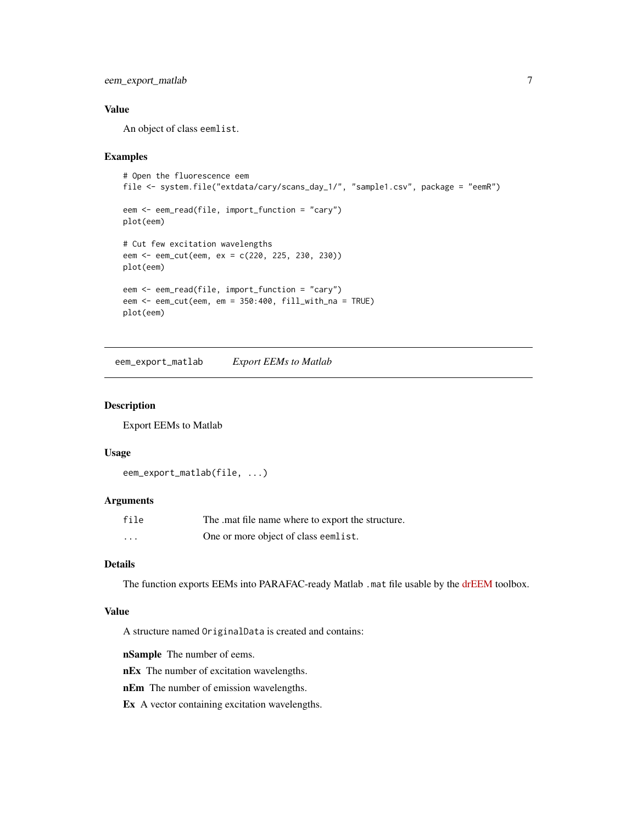<span id="page-6-0"></span>eem\_export\_matlab 7

# Value

An object of class eemlist.

#### Examples

```
# Open the fluorescence eem
file <- system.file("extdata/cary/scans_day_1/", "sample1.csv", package = "eemR")
eem <- eem_read(file, import_function = "cary")
plot(eem)
# Cut few excitation wavelengths
eem <- eem_cut(eem, ex = c(220, 225, 230, 230))
plot(eem)
eem <- eem_read(file, import_function = "cary")
eem <- eem_cut(eem, em = 350:400, fill_with_na = TRUE)
plot(eem)
```
eem\_export\_matlab *Export EEMs to Matlab*

# Description

Export EEMs to Matlab

#### Usage

```
eem_export_matlab(file, ...)
```
# Arguments

| file    | The mat file name where to export the structure. |
|---------|--------------------------------------------------|
| $\cdot$ | One or more object of class eemlist.             |

### Details

The function exports EEMs into PARAFAC-ready Matlab .mat file usable by the [drEEM](http://www.models.life.ku.dk/drEEM) toolbox.

# Value

A structure named OriginalData is created and contains:

nSample The number of eems.

nEx The number of excitation wavelengths.

nEm The number of emission wavelengths.

Ex A vector containing excitation wavelengths.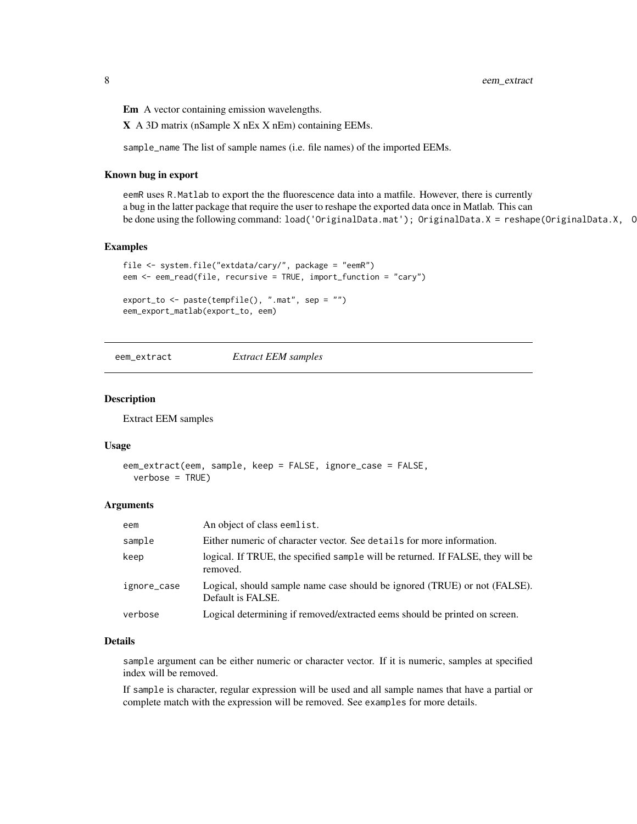<span id="page-7-0"></span>8 eem\_extract

Em A vector containing emission wavelengths.

X A 3D matrix (nSample X nEx X nEm) containing EEMs.

sample\_name The list of sample names (i.e. file names) of the imported EEMs.

#### Known bug in export

eemR uses R.Matlab to export the the fluorescence data into a matfile. However, there is currently a bug in the latter package that require the user to reshape the exported data once in Matlab. This can be done using the following command: load('OriginalData.mat'); OriginalData.X = reshape(OriginalData.X, C

# Examples

```
file <- system.file("extdata/cary/", package = "eemR")
eem <- eem_read(file, recursive = TRUE, import_function = "cary")
export_to <- paste(tempfile(), ".mat", sep = "")
```
eem\_export\_matlab(export\_to, eem)

eem\_extract *Extract EEM samples*

# Description

Extract EEM samples

#### Usage

```
eem_extract(eem, sample, keep = FALSE, ignore_case = FALSE,
 verbose = TRUE)
```
#### Arguments

| eem         | An object of class eemlist.                                                                    |
|-------------|------------------------------------------------------------------------------------------------|
| sample      | Either numeric of character vector. See details for more information.                          |
| keep        | logical. If TRUE, the specified sample will be returned. If FALSE, they will be<br>removed.    |
| ignore_case | Logical, should sample name case should be ignored (TRUE) or not (FALSE).<br>Default is FALSE. |
| verbose     | Logical determining if removed/extracted eems should be printed on screen.                     |

# Details

sample argument can be either numeric or character vector. If it is numeric, samples at specified index will be removed.

If sample is character, regular expression will be used and all sample names that have a partial or complete match with the expression will be removed. See examples for more details.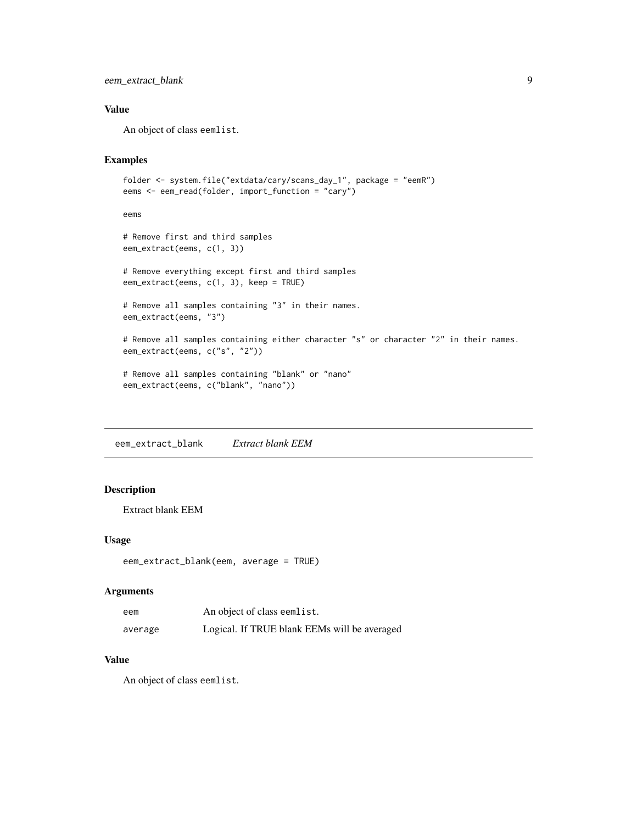# <span id="page-8-0"></span>eem\_extract\_blank 9

# Value

An object of class eemlist.

# Examples

```
folder <- system.file("extdata/cary/scans_day_1", package = "eemR")
eems <- eem_read(folder, import_function = "cary")
```
eems

```
# Remove first and third samples
eem_extract(eems, c(1, 3))
# Remove everything except first and third samples
eem_extract(eems, c(1, 3), keep = TRUE)
# Remove all samples containing "3" in their names.
eem_extract(eems, "3")
```

```
# Remove all samples containing either character "s" or character "2" in their names.
eem_extract(eems, c("s", "2"))
```

```
# Remove all samples containing "blank" or "nano"
eem_extract(eems, c("blank", "nano"))
```
eem\_extract\_blank *Extract blank EEM*

# Description

```
Extract blank EEM
```
# Usage

```
eem_extract_blank(eem, average = TRUE)
```
# Arguments

| eem     | An object of class eemlist.                  |
|---------|----------------------------------------------|
| average | Logical. If TRUE blank EEMs will be averaged |

# Value

An object of class eemlist.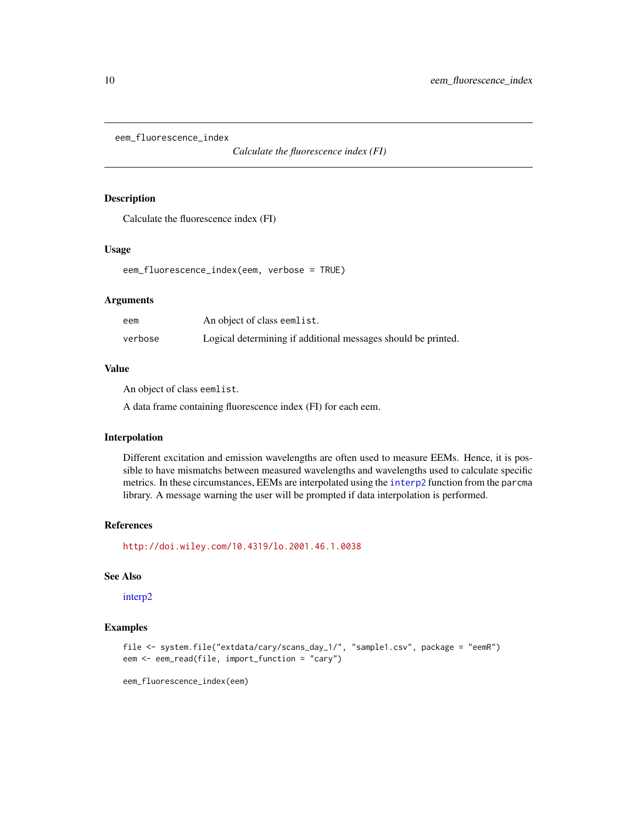<span id="page-9-0"></span>eem\_fluorescence\_index

*Calculate the fluorescence index (FI)*

# Description

Calculate the fluorescence index (FI)

# Usage

eem\_fluorescence\_index(eem, verbose = TRUE)

# Arguments

| eem     | An object of class eemlist.                                   |
|---------|---------------------------------------------------------------|
| verbose | Logical determining if additional messages should be printed. |

# Value

An object of class eemlist.

A data frame containing fluorescence index (FI) for each eem.

# Interpolation

Different excitation and emission wavelengths are often used to measure EEMs. Hence, it is possible to have mismatchs between measured wavelengths and wavelengths used to calculate specific metrics. In these circumstances, EEMs are interpolated using the [interp2](#page-0-0) function from the parcma library. A message warning the user will be prompted if data interpolation is performed.

# References

<http://doi.wiley.com/10.4319/lo.2001.46.1.0038>

# See Also

[interp2](#page-0-0)

#### Examples

```
file <- system.file("extdata/cary/scans_day_1/", "sample1.csv", package = "eemR")
eem <- eem_read(file, import_function = "cary")
```
eem\_fluorescence\_index(eem)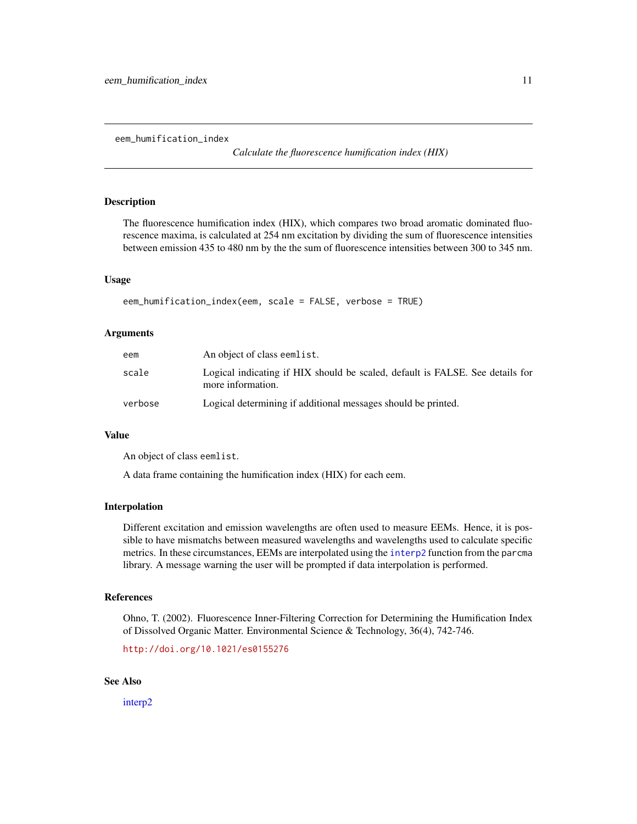<span id="page-10-0"></span>eem\_humification\_index

*Calculate the fluorescence humification index (HIX)*

# **Description**

The fluorescence humification index (HIX), which compares two broad aromatic dominated fluorescence maxima, is calculated at 254 nm excitation by dividing the sum of fluorescence intensities between emission 435 to 480 nm by the the sum of fluorescence intensities between 300 to 345 nm.

# Usage

```
eem_humification_index(eem, scale = FALSE, verbose = TRUE)
```
# Arguments

| eem     | An object of class eemlist.                                                                        |
|---------|----------------------------------------------------------------------------------------------------|
| scale   | Logical indicating if HIX should be scaled, default is FALSE. See details for<br>more information. |
| verbose | Logical determining if additional messages should be printed.                                      |

# Value

An object of class eemlist.

A data frame containing the humification index (HIX) for each eem.

#### Interpolation

Different excitation and emission wavelengths are often used to measure EEMs. Hence, it is possible to have mismatchs between measured wavelengths and wavelengths used to calculate specific metrics. In these circumstances, EEMs are interpolated using the [interp2](#page-0-0) function from the parcma library. A message warning the user will be prompted if data interpolation is performed.

# References

Ohno, T. (2002). Fluorescence Inner-Filtering Correction for Determining the Humification Index of Dissolved Organic Matter. Environmental Science & Technology, 36(4), 742-746.

<http://doi.org/10.1021/es0155276>

### See Also

[interp2](#page-0-0)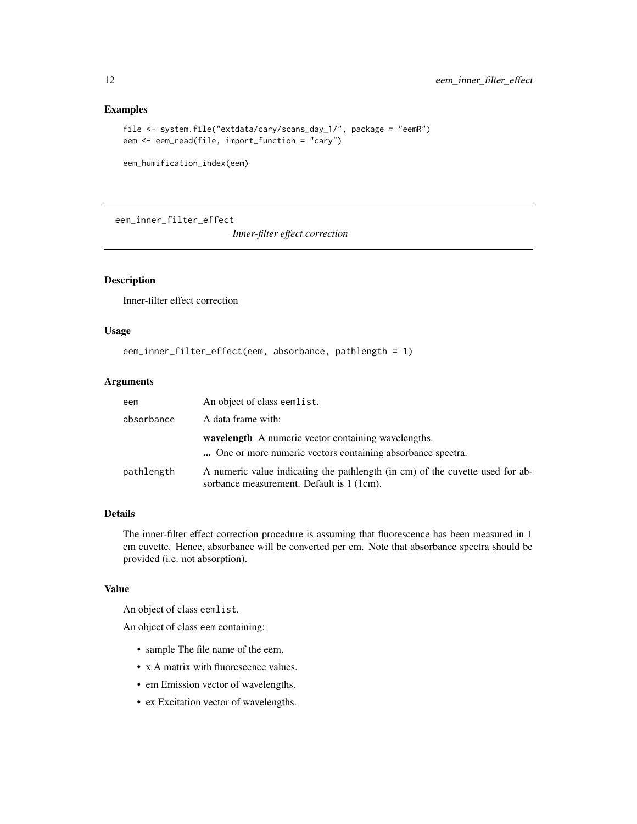# Examples

```
file <- system.file("extdata/cary/scans_day_1/", package = "eemR")
eem <- eem_read(file, import_function = "cary")
```
eem\_humification\_index(eem)

eem\_inner\_filter\_effect

*Inner-filter effect correction*

# Description

Inner-filter effect correction

# Usage

```
eem_inner_filter_effect(eem, absorbance, pathlength = 1)
```
#### Arguments

| eem        | An object of class eemlist.                                                                                                |
|------------|----------------------------------------------------------------------------------------------------------------------------|
| absorbance | A data frame with:                                                                                                         |
|            | <b>wavelength</b> A numeric vector containing wavelengths.<br>One or more numeric vectors containing absorbance spectra.   |
| pathlength | A numeric value indicating the pathlength (in cm) of the cuvette used for ab-<br>sorbance measurement. Default is 1 (1cm). |

# Details

The inner-filter effect correction procedure is assuming that fluorescence has been measured in 1 cm cuvette. Hence, absorbance will be converted per cm. Note that absorbance spectra should be provided (i.e. not absorption).

# Value

An object of class eemlist.

An object of class eem containing:

- sample The file name of the eem.
- x A matrix with fluorescence values.
- em Emission vector of wavelengths.
- ex Excitation vector of wavelengths.

<span id="page-11-0"></span>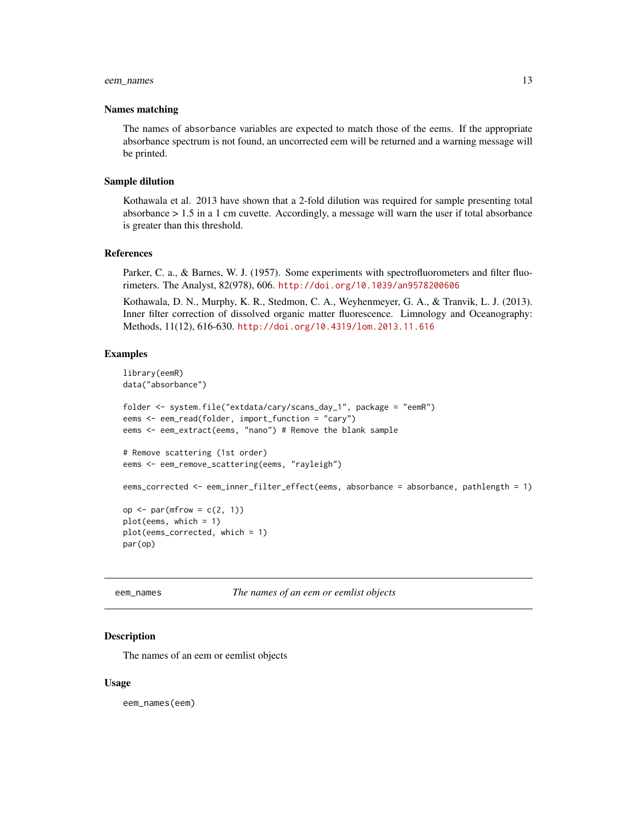# <span id="page-12-0"></span>eem\_names 13

#### Names matching

The names of absorbance variables are expected to match those of the eems. If the appropriate absorbance spectrum is not found, an uncorrected eem will be returned and a warning message will be printed.

### Sample dilution

Kothawala et al. 2013 have shown that a 2-fold dilution was required for sample presenting total absorbance  $> 1.5$  in a 1 cm cuvette. Accordingly, a message will warn the user if total absorbance is greater than this threshold.

# References

Parker, C. a., & Barnes, W. J. (1957). Some experiments with spectrofluorometers and filter fluorimeters. The Analyst, 82(978), 606. <http://doi.org/10.1039/an9578200606>

Kothawala, D. N., Murphy, K. R., Stedmon, C. A., Weyhenmeyer, G. A., & Tranvik, L. J. (2013). Inner filter correction of dissolved organic matter fluorescence. Limnology and Oceanography: Methods, 11(12), 616-630. <http://doi.org/10.4319/lom.2013.11.616>

#### Examples

```
library(eemR)
data("absorbance")
folder <- system.file("extdata/cary/scans_day_1", package = "eemR")
eems <- eem_read(folder, import_function = "cary")
eems <- eem_extract(eems, "nano") # Remove the blank sample
# Remove scattering (1st order)
eems <- eem_remove_scattering(eems, "rayleigh")
eems_corrected <- eem_inner_filter_effect(eems, absorbance = absorbance, pathlength = 1)
op \leq par(mfrow = c(2, 1))
plot(eems, which = 1)
plot(eems_corrected, which = 1)
par(op)
```
eem\_names *The names of an eem or eemlist objects*

# Description

The names of an eem or eemlist objects

#### Usage

eem\_names(eem)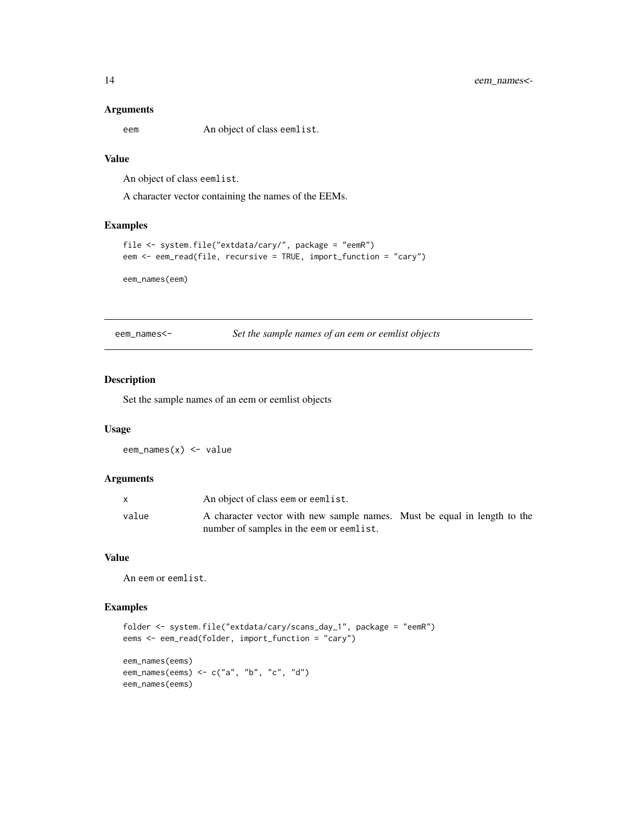#### <span id="page-13-0"></span>Arguments

eem An object of class eemlist.

# Value

An object of class eemlist.

A character vector containing the names of the EEMs.

# Examples

```
file <- system.file("extdata/cary/", package = "eemR")
eem <- eem_read(file, recursive = TRUE, import_function = "cary")
```
eem\_names(eem)

eem\_names<- *Set the sample names of an eem or eemlist objects*

# Description

Set the sample names of an eem or eemlist objects

# Usage

eem\_names(x) <- value

#### Arguments

|       | An object of class eem or eemlist.                                                                                   |  |
|-------|----------------------------------------------------------------------------------------------------------------------|--|
| value | A character vector with new sample names. Must be equal in length to the<br>number of samples in the eem or eemlist. |  |

# Value

An eem or eemlist.

# Examples

```
folder <- system.file("extdata/cary/scans_day_1", package = "eemR")
eems <- eem_read(folder, import_function = "cary")
eem_names(eems)
eem_names(eems) <- c("a", "b", "c", "d")
eem_names(eems)
```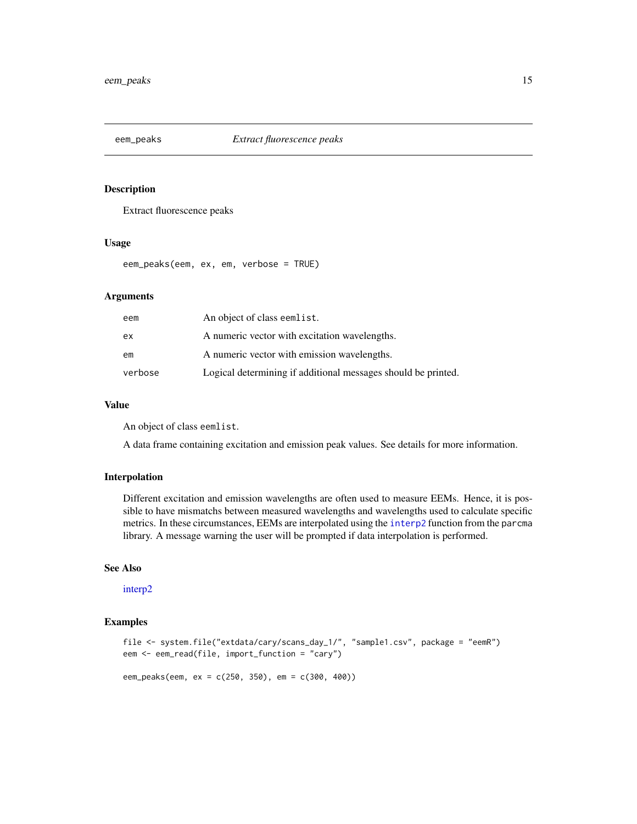<span id="page-14-0"></span>

# Description

Extract fluorescence peaks

### Usage

eem\_peaks(eem, ex, em, verbose = TRUE)

# Arguments

| eem     | An object of class eemlist.                                   |
|---------|---------------------------------------------------------------|
| ex      | A numeric vector with excitation wavelengths.                 |
| em      | A numeric vector with emission wavelengths.                   |
| verbose | Logical determining if additional messages should be printed. |

# Value

An object of class eemlist.

A data frame containing excitation and emission peak values. See details for more information.

# Interpolation

Different excitation and emission wavelengths are often used to measure EEMs. Hence, it is possible to have mismatchs between measured wavelengths and wavelengths used to calculate specific metrics. In these circumstances, EEMs are interpolated using the [interp2](#page-0-0) function from the parcma library. A message warning the user will be prompted if data interpolation is performed.

# See Also

[interp2](#page-0-0)

# Examples

```
file <- system.file("extdata/cary/scans_day_1/", "sample1.csv", package = "eemR")
eem <- eem_read(file, import_function = "cary")
```
eem\_peaks(eem, ex = c(250, 350), em = c(300, 400))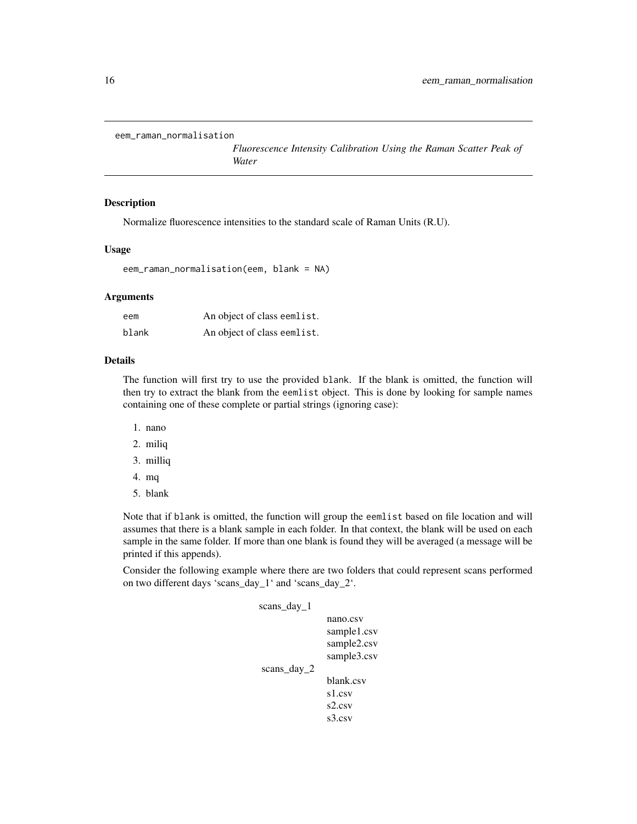```
eem_raman_normalisation
```
*Fluorescence Intensity Calibration Using the Raman Scatter Peak of Water*

#### Description

Normalize fluorescence intensities to the standard scale of Raman Units (R.U).

### Usage

```
eem_raman_normalisation(eem, blank = NA)
```
# Arguments

| eem   | An object of class eemlist. |
|-------|-----------------------------|
| blank | An object of class eemlist. |

# Details

The function will first try to use the provided blank. If the blank is omitted, the function will then try to extract the blank from the eemlist object. This is done by looking for sample names containing one of these complete or partial strings (ignoring case):

- 1. nano
- 2. miliq
- 3. milliq
- 4. mq
- 5. blank

Note that if blank is omitted, the function will group the eemlist based on file location and will assumes that there is a blank sample in each folder. In that context, the blank will be used on each sample in the same folder. If more than one blank is found they will be averaged (a message will be printed if this appends).

Consider the following example where there are two folders that could represent scans performed on two different days 'scans\_day\_1' and 'scans\_day\_2'.

| scans_day_1 |             |
|-------------|-------------|
|             | nano.csv    |
|             | sample1.csv |
|             | sample2.csv |
|             | sample3.csv |
| scans_day_2 |             |
|             | blank.csv   |
|             | s1.csv      |
|             | s2.csv      |
|             | s3.csv      |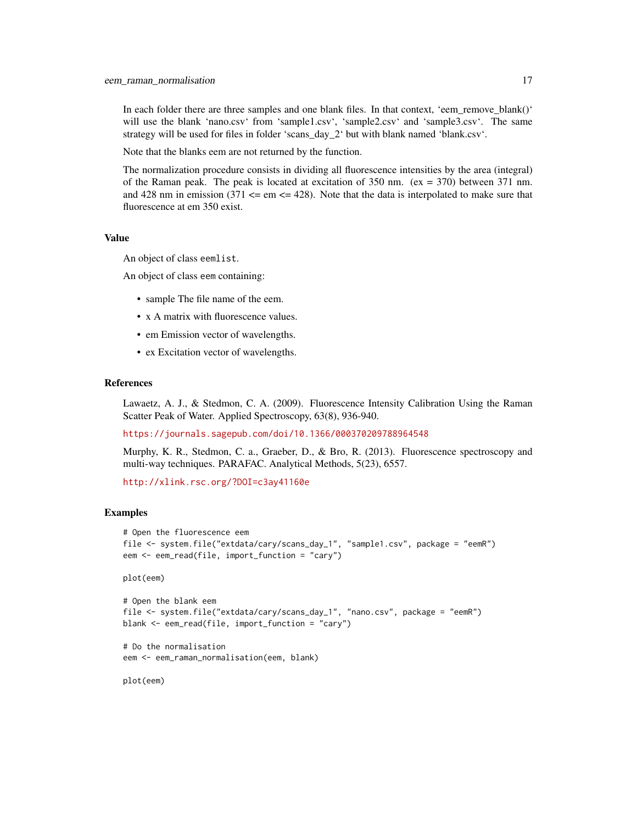In each folder there are three samples and one blank files. In that context, 'eem\_remove\_blank()' will use the blank 'nano.csv' from 'sample1.csv', 'sample2.csv' and 'sample3.csv'. The same strategy will be used for files in folder 'scans day  $2<sup>1</sup>$  but with blank named 'blank.csv'.

Note that the blanks eem are not returned by the function.

The normalization procedure consists in dividing all fluorescence intensities by the area (integral) of the Raman peak. The peak is located at excitation of 350 nm.  $(ex = 370)$  between 371 nm. and 428 nm in emission  $(371 \leq 278)$ . Note that the data is interpolated to make sure that fluorescence at em 350 exist.

#### Value

An object of class eemlist.

An object of class eem containing:

- sample The file name of the eem.
- x A matrix with fluorescence values.
- em Emission vector of wavelengths.
- ex Excitation vector of wavelengths.

# References

Lawaetz, A. J., & Stedmon, C. A. (2009). Fluorescence Intensity Calibration Using the Raman Scatter Peak of Water. Applied Spectroscopy, 63(8), 936-940.

<https://journals.sagepub.com/doi/10.1366/000370209788964548>

Murphy, K. R., Stedmon, C. a., Graeber, D., & Bro, R. (2013). Fluorescence spectroscopy and multi-way techniques. PARAFAC. Analytical Methods, 5(23), 6557.

<http://xlink.rsc.org/?DOI=c3ay41160e>

#### Examples

```
# Open the fluorescence eem
file <- system.file("extdata/cary/scans_day_1", "sample1.csv", package = "eemR")
eem <- eem_read(file, import_function = "cary")
```
plot(eem)

```
# Open the blank eem
file <- system.file("extdata/cary/scans_day_1", "nano.csv", package = "eemR")
blank <- eem_read(file, import_function = "cary")
```

```
# Do the normalisation
eem <- eem_raman_normalisation(eem, blank)
```
plot(eem)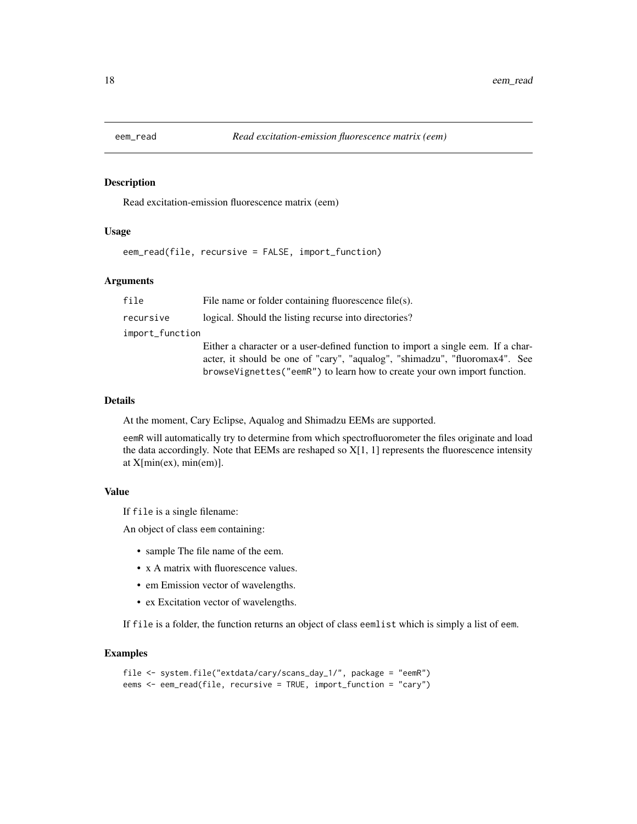<span id="page-17-0"></span>

# Description

Read excitation-emission fluorescence matrix (eem)

# Usage

eem\_read(file, recursive = FALSE, import\_function)

# Arguments

| file            | File name or folder containing fluorescence file $(s)$ .                         |
|-----------------|----------------------------------------------------------------------------------|
| recursive       | logical. Should the listing recurse into directories?                            |
| import_function |                                                                                  |
|                 | Either a character or a user-defined function to import a single eem. If a char- |
|                 | acter, it should be one of "cary", "aqualog", "shimadzu", "fluoromax4". See      |
|                 | browseVignettes("eemR") to learn how to create your own import function.         |

# Details

At the moment, Cary Eclipse, Aqualog and Shimadzu EEMs are supported.

eemR will automatically try to determine from which spectrofluorometer the files originate and load the data accordingly. Note that EEMs are reshaped so X[1, 1] represents the fluorescence intensity at X[min(ex), min(em)].

# Value

If file is a single filename:

An object of class eem containing:

- sample The file name of the eem.
- x A matrix with fluorescence values.
- em Emission vector of wavelengths.
- ex Excitation vector of wavelengths.

If file is a folder, the function returns an object of class eemlist which is simply a list of eem.

#### Examples

```
file <- system.file("extdata/cary/scans_day_1/", package = "eemR")
eems <- eem_read(file, recursive = TRUE, import_function = "cary")
```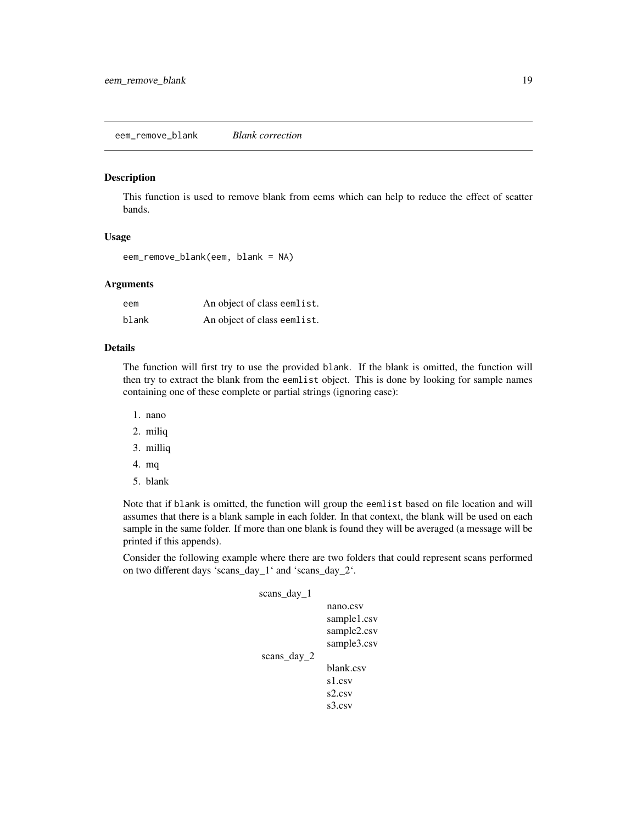# <span id="page-18-0"></span>Description

This function is used to remove blank from eems which can help to reduce the effect of scatter bands.

# Usage

eem\_remove\_blank(eem, blank = NA)

# **Arguments**

| eem   | An object of class eemlist. |
|-------|-----------------------------|
| blank | An object of class eemlist. |

# Details

The function will first try to use the provided blank. If the blank is omitted, the function will then try to extract the blank from the eemlist object. This is done by looking for sample names containing one of these complete or partial strings (ignoring case):

- 1. nano
- 2. miliq
- 3. milliq
- 4. mq
- 5. blank

Note that if blank is omitted, the function will group the eemlist based on file location and will assumes that there is a blank sample in each folder. In that context, the blank will be used on each sample in the same folder. If more than one blank is found they will be averaged (a message will be printed if this appends).

Consider the following example where there are two folders that could represent scans performed on two different days 'scans\_day\_1' and 'scans\_day\_2'.

| scans day 1 |             |
|-------------|-------------|
|             | nano.csv    |
|             | sample1.csv |
|             | sample2.csv |
|             | sample3.csv |
| scans day 2 |             |
|             | blank.csv   |
|             | s1.csv      |
|             | s2.csv      |
|             | s3.csv      |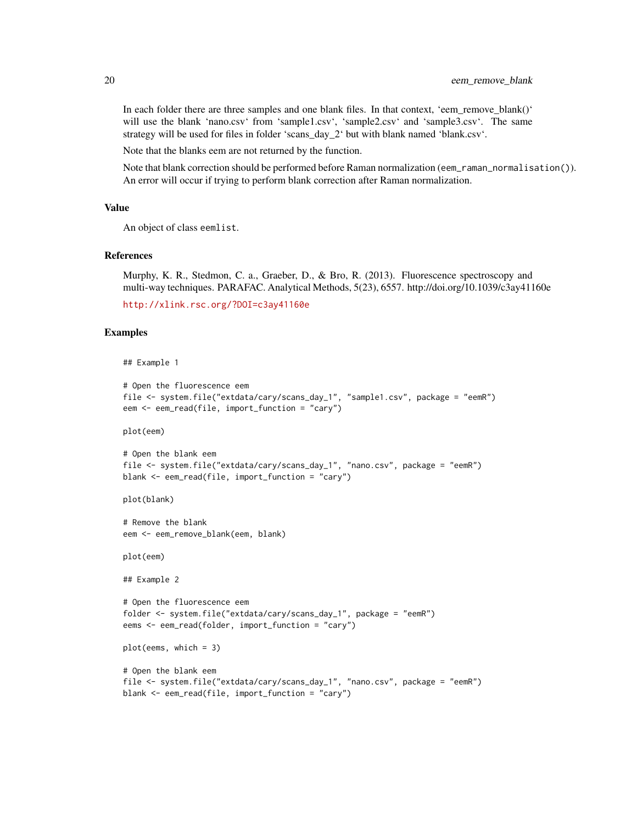In each folder there are three samples and one blank files. In that context, 'eem\_remove\_blank()' will use the blank 'nano.csv' from 'sample1.csv', 'sample2.csv' and 'sample3.csv'. The same strategy will be used for files in folder 'scans day 2' but with blank named 'blank.csv'.

Note that the blanks eem are not returned by the function.

Note that blank correction should be performed before Raman normalization (eem\_raman\_normalisation()). An error will occur if trying to perform blank correction after Raman normalization.

# Value

An object of class eemlist.

# References

Murphy, K. R., Stedmon, C. a., Graeber, D., & Bro, R. (2013). Fluorescence spectroscopy and multi-way techniques. PARAFAC. Analytical Methods, 5(23), 6557. http://doi.org/10.1039/c3ay41160e

```
http://xlink.rsc.org/?DOI=c3ay41160e
```
# Examples

```
## Example 1
```

```
# Open the fluorescence eem
file <- system.file("extdata/cary/scans_day_1", "sample1.csv", package = "eemR")
eem <- eem_read(file, import_function = "cary")
```
plot(eem)

```
# Open the blank eem
file <- system.file("extdata/cary/scans_day_1", "nano.csv", package = "eemR")
blank <- eem_read(file, import_function = "cary")
```
plot(blank)

```
# Remove the blank
eem <- eem_remove_blank(eem, blank)
```
plot(eem)

```
## Example 2
```

```
# Open the fluorescence eem
folder <- system.file("extdata/cary/scans_day_1", package = "eemR")
eems <- eem_read(folder, import_function = "cary")
```

```
plot(eems, which = 3)
```

```
# Open the blank eem
file <- system.file("extdata/cary/scans_day_1", "nano.csv", package = "eemR")
blank <- eem_read(file, import_function = "cary")
```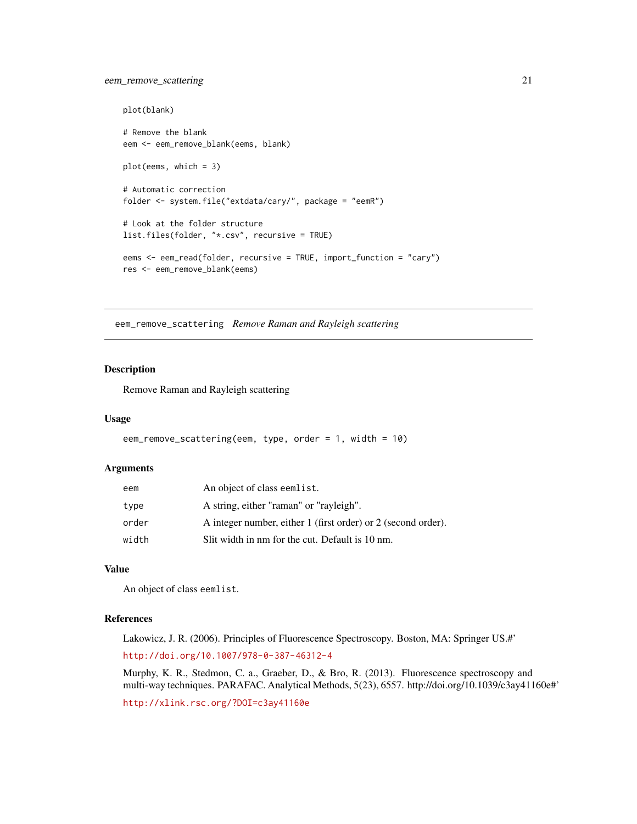# <span id="page-20-0"></span>eem\_remove\_scattering 21

```
plot(blank)
# Remove the blank
eem <- eem_remove_blank(eems, blank)
plot(eems, which = 3)
# Automatic correction
folder <- system.file("extdata/cary/", package = "eemR")
# Look at the folder structure
list.files(folder, "*.csv", recursive = TRUE)
eems <- eem_read(folder, recursive = TRUE, import_function = "cary")
res <- eem_remove_blank(eems)
```
eem\_remove\_scattering *Remove Raman and Rayleigh scattering*

# Description

Remove Raman and Rayleigh scattering

#### Usage

```
eem_remove_scattering(eem, type, order = 1, width = 10)
```
#### **Arguments**

| eem   | An object of class eemlist.                                   |
|-------|---------------------------------------------------------------|
| type  | A string, either "raman" or "rayleigh".                       |
| order | A integer number, either 1 (first order) or 2 (second order). |
| width | Slit width in nm for the cut. Default is 10 nm.               |

# Value

An object of class eemlist.

# References

Lakowicz, J. R. (2006). Principles of Fluorescence Spectroscopy. Boston, MA: Springer US.#' <http://doi.org/10.1007/978-0-387-46312-4>

Murphy, K. R., Stedmon, C. a., Graeber, D., & Bro, R. (2013). Fluorescence spectroscopy and multi-way techniques. PARAFAC. Analytical Methods, 5(23), 6557. http://doi.org/10.1039/c3ay41160e#'

<http://xlink.rsc.org/?DOI=c3ay41160e>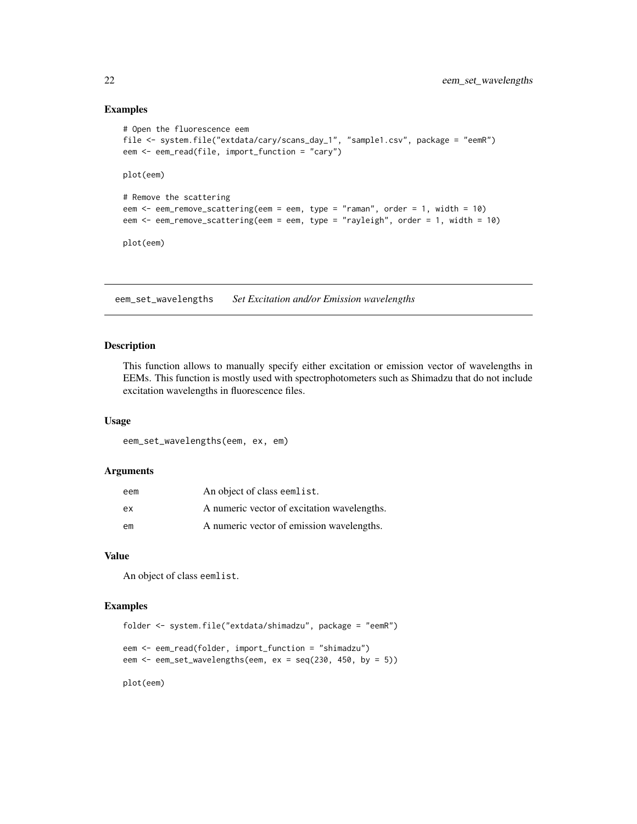# Examples

```
# Open the fluorescence eem
file <- system.file("extdata/cary/scans_day_1", "sample1.csv", package = "eemR")
eem <- eem_read(file, import_function = "cary")
plot(eem)
# Remove the scattering
eem <- eem_remove_scattering(eem = eem, type = "raman", order = 1, width = 10)
eem <- eem_remove_scattering(eem = eem, type = "rayleigh", order = 1, width = 10)
plot(eem)
```
eem\_set\_wavelengths *Set Excitation and/or Emission wavelengths*

#### Description

This function allows to manually specify either excitation or emission vector of wavelengths in EEMs. This function is mostly used with spectrophotometers such as Shimadzu that do not include excitation wavelengths in fluorescence files.

#### Usage

eem\_set\_wavelengths(eem, ex, em)

#### Arguments

| eem | An object of class eemlist.                 |
|-----|---------------------------------------------|
| ex  | A numeric vector of excitation wavelengths. |
| em  | A numeric vector of emission wavelengths.   |

# Value

An object of class eemlist.

# Examples

```
folder <- system.file("extdata/shimadzu", package = "eemR")
eem <- eem_read(folder, import_function = "shimadzu")
eem <- eem_set_wavelengths(eem, ex = seq(230, 450, by = 5))
```
plot(eem)

<span id="page-21-0"></span>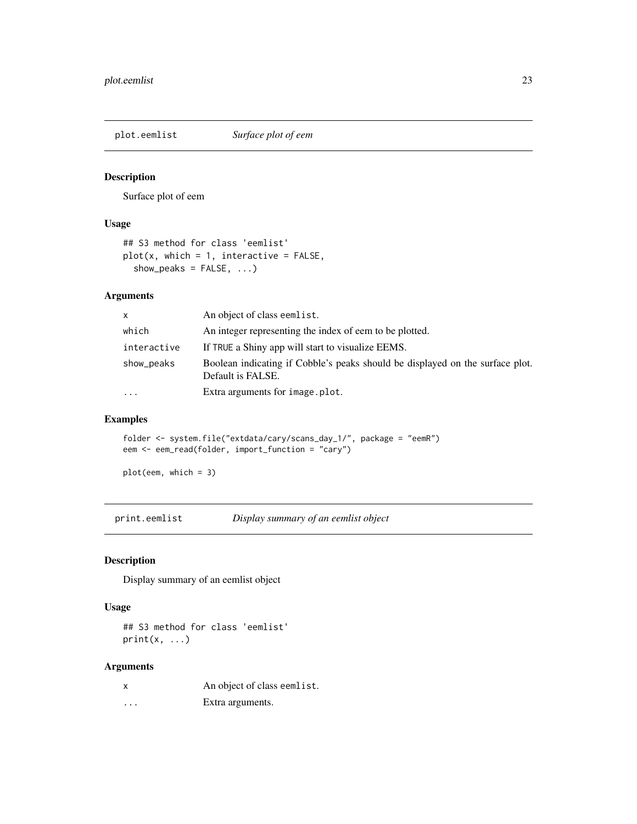<span id="page-22-0"></span>plot.eemlist *Surface plot of eem*

# Description

Surface plot of eem

# Usage

```
## S3 method for class 'eemlist'
plot(x, which = 1, interactive = FALSE,show_peaks = FALSE, ...)
```
# Arguments

| X           | An object of class eemlist.                                                                        |
|-------------|----------------------------------------------------------------------------------------------------|
| which       | An integer representing the index of eem to be plotted.                                            |
| interactive | If TRUE a Shiny app will start to visualize EEMS.                                                  |
| show_peaks  | Boolean indicating if Cobble's peaks should be displayed on the surface plot.<br>Default is FALSE. |
| $\cdots$    | Extra arguments for image.plot.                                                                    |

# Examples

folder <- system.file("extdata/cary/scans\_day\_1/", package = "eemR") eem <- eem\_read(folder, import\_function = "cary")

plot(eem, which = 3)

print.eemlist *Display summary of an eemlist object*

# Description

Display summary of an eemlist object

# Usage

## S3 method for class 'eemlist'  $print(x, \ldots)$ 

# Arguments

|   | An object of class eemlist. |
|---|-----------------------------|
| . | Extra arguments.            |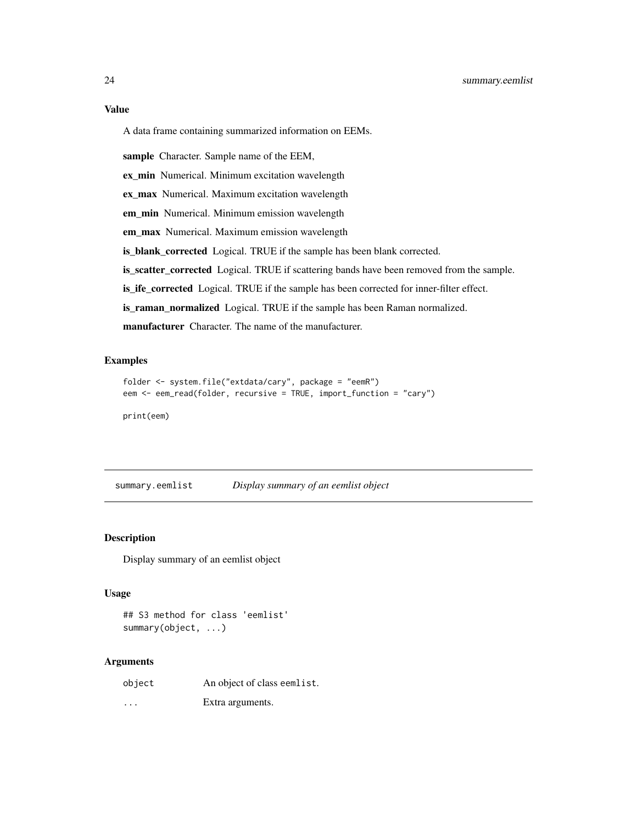# <span id="page-23-0"></span>Value

A data frame containing summarized information on EEMs.

sample Character. Sample name of the EEM,

ex\_min Numerical. Minimum excitation wavelength

ex\_max Numerical. Maximum excitation wavelength

em\_min Numerical. Minimum emission wavelength

em\_max Numerical. Maximum emission wavelength

is\_blank\_corrected Logical. TRUE if the sample has been blank corrected.

is\_scatter\_corrected Logical. TRUE if scattering bands have been removed from the sample.

is\_ife\_corrected Logical. TRUE if the sample has been corrected for inner-filter effect.

is\_raman\_normalized Logical. TRUE if the sample has been Raman normalized.

manufacturer Character. The name of the manufacturer.

# Examples

```
folder <- system.file("extdata/cary", package = "eemR")
eem <- eem_read(folder, recursive = TRUE, import_function = "cary")
```
print(eem)

summary.eemlist *Display summary of an eemlist object*

# Description

Display summary of an eemlist object

#### Usage

## S3 method for class 'eemlist' summary(object, ...)

#### Arguments

object An object of class eemlist.

... Extra arguments.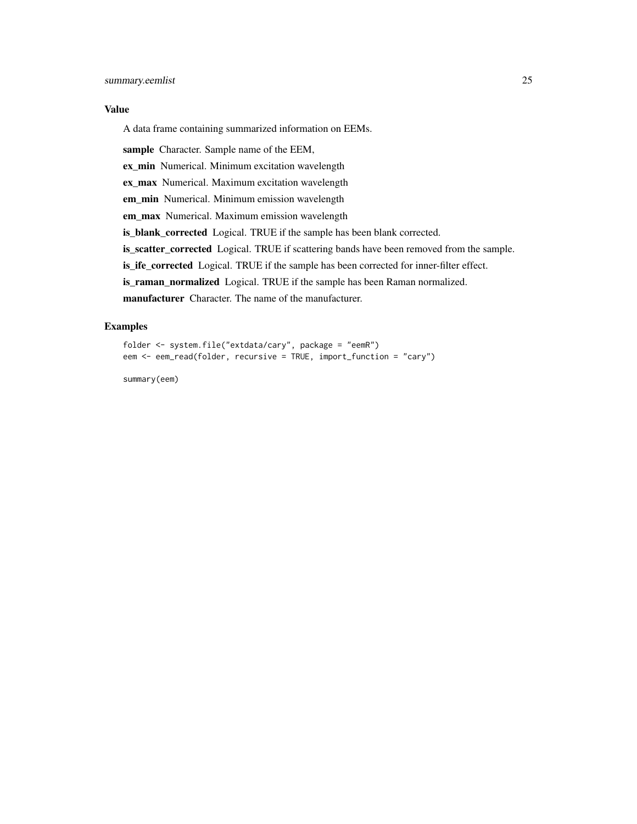### Value

A data frame containing summarized information on EEMs.

sample Character. Sample name of the EEM,

ex\_min Numerical. Minimum excitation wavelength

ex\_max Numerical. Maximum excitation wavelength

em\_min Numerical. Minimum emission wavelength

em\_max Numerical. Maximum emission wavelength

is\_blank\_corrected Logical. TRUE if the sample has been blank corrected.

is\_scatter\_corrected Logical. TRUE if scattering bands have been removed from the sample.

is\_ife\_corrected Logical. TRUE if the sample has been corrected for inner-filter effect.

is\_raman\_normalized Logical. TRUE if the sample has been Raman normalized.

manufacturer Character. The name of the manufacturer.

# Examples

```
folder <- system.file("extdata/cary", package = "eemR")
eem <- eem_read(folder, recursive = TRUE, import_function = "cary")
```
summary(eem)